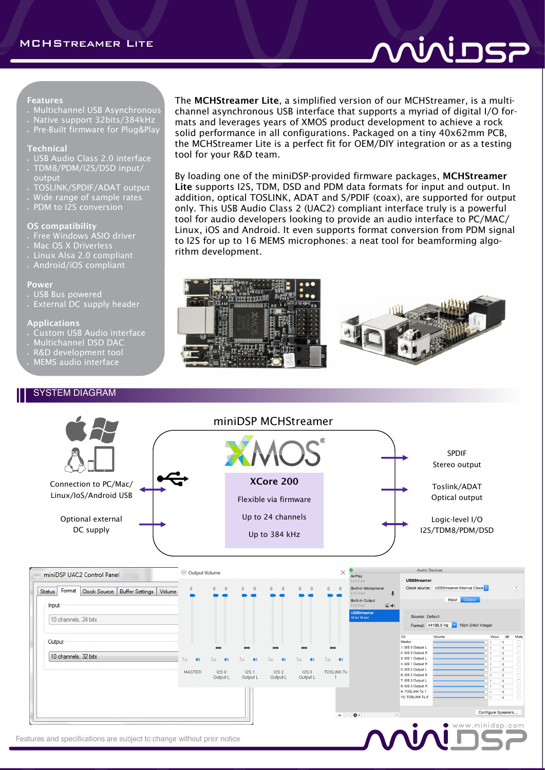# vivins;

#### Features

- Multichannel USB Asynchronous
- Native support 32bits/384kHz
- Pre-Built firmware for Plug&Play

#### Technical

- USB Audio Class 2.0 interface
- TDM8/PDM/I2S/DSD input/ output
- TOSLINK/SPDIF/ADAT output
- Wide range of sample rates
- PDM to I2S conversion

### OS compatibility

- Free Windows ASIO driver
- Mac OS X Driverless
- Linux Alsa 2.0 compliant
- Android/iOS compliant

#### Power

- USB Bus powered
- External DC supply header

#### Applications

- Custom USB Audio interface
- Multichannel DSD DAC

## • R&D development tool

• MEMS audio interface

### SYSTEM DIAGRAM

The MCHStreamer Lite, a simplified version of our MCHStreamer, is a multichannel asynchronous USB interface that supports a myriad of digital I/O formats and leverages years of XMOS product development to achieve a rock solid performance in all configurations. Packaged on a tiny 40x62mm PCB, the MCHStreamer Lite is a perfect fit for OEM/DIY integration or as a testing tool for your R&D team.

By loading one of the miniDSP-provided firmware packages, MCHStreamer Lite supports I2S, TDM, DSD and PDM data formats for input and output. In addition, optical TOSLINK, ADAT and S/PDIF (coax), are supported for output only. This USB Audio Class 2 (UAC2) compliant interface truly is a powerful tool for audio developers looking to provide an audio interface to PC/MAC/ Linux, iOS and Android. It even supports format conversion from PDM signal to I2S for up to 16 MEMS microphones: a neat tool for beamforming algorithm development.